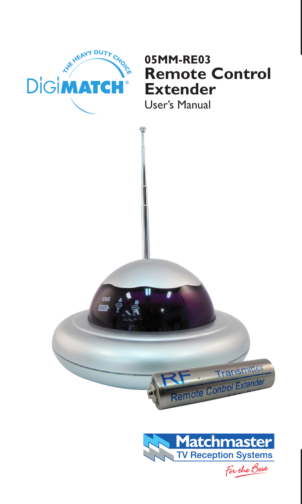

#### **05MM-RE03 Remote Control Extender**

User's Manual





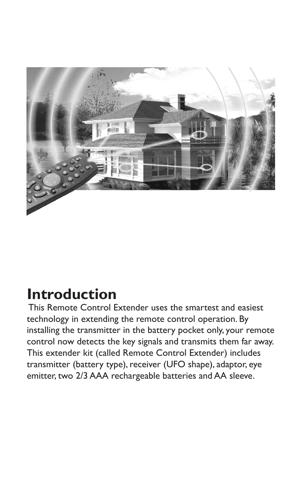

#### **Introduction**

 This Remote Control Extender uses the smartest and easiest technology in extending the remote control operation. By installing the transmitter in the battery pocket only, your remote control now detects the key signals and transmits them far away. This extender kit (called Remote Control Extender) includes transmitter (battery type), receiver (UFO shape), adaptor, eye emitter, two 2/3 AAA rechargeable batteries and AA sleeve.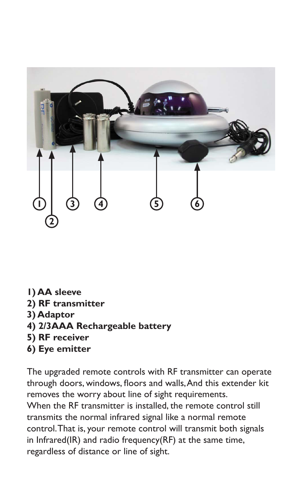

- **1) AA sleeve**
- **2) RF transmitter**
- **3) Adaptor**
- **4) 2/3AAA Rechargeable battery**
- **5) RF receiver**
- **6) Eye emitter**

The upgraded remote controls with RF transmitter can operate through doors, windows, floors and walls, And this extender kit removes the worry about line of sight requirements. When the RF transmitter is installed, the remote control still transmits the normal infrared signal like a normal remote control. That is, your remote control will transmit both signals in Infrared(IR) and radio frequency(RF) at the same time, regardless of distance or line of sight.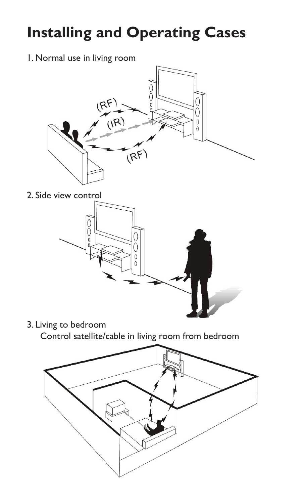## **Installing and Operating Cases**

1. Normal use in living room



2. Side view control



3. Living to bedroom

Control satellite/cable in living room from bedroom

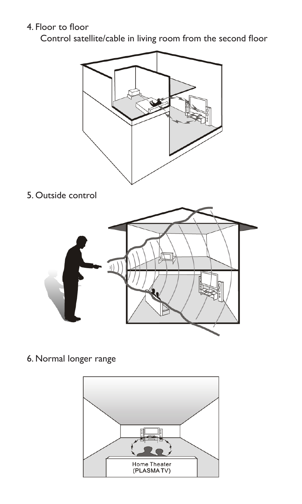#### 4. Floor to floor

Control satellite/cable in living room from the second floor



5. Outside control



6. Normal longer range

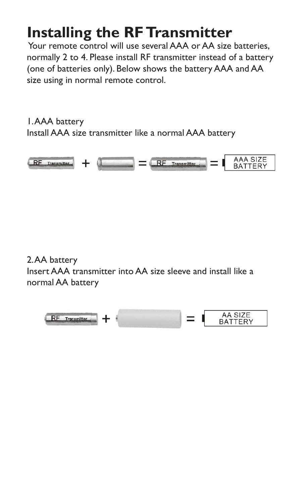### **Installing the RF Transmitter**

 Your remote control will use several AAA or AA size batteries, normally 2 to 4. Please install RF transmitter instead of a battery (one of batteries only). Below shows the battery AAA and AA size using in normal remote control.

1. AAA battery Install AAA size transmitter like a normal AAA battery



2. AA battery Insert AAA transmitter into AA size sleeve and install like a normal AA battery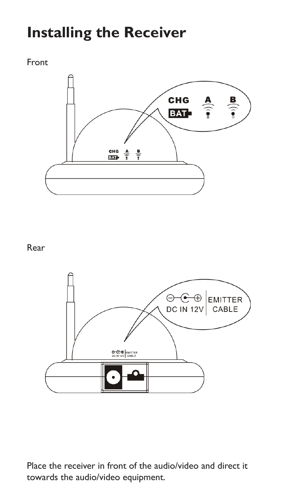#### **Installing the Receiver**

#### Front



#### Rear



Place the receiver in front of the audio/video and direct it towards the audio/video equipment.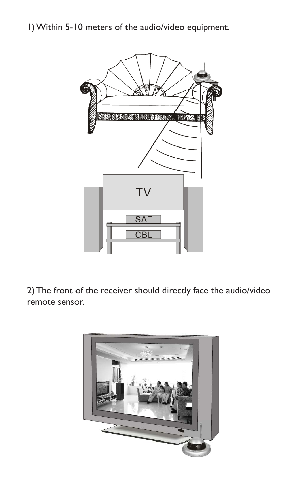1) Within 5-10 meters of the audio/video equipment.



2) The front of the receiver should directly face the audio/video remote sensor.

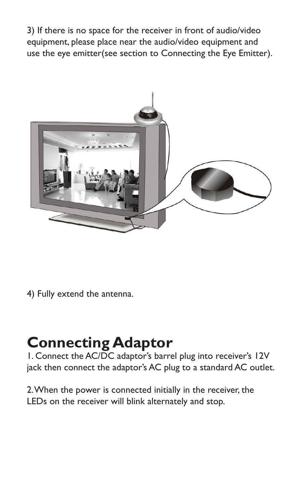3) If there is no space for the receiver in front of audio/video equipment, please place near the audio/video equipment and use the eye emitter(see section to Connecting the Eye Emitter).



4) Fully extend the antenna.

#### **Connecting Adaptor**

1. Connect the AC/DC adaptor's barrel plug into receiver's 12V jack then connect the adaptor's AC plug to a standard AC outlet.

2. When the power is connected initially in the receiver, the LEDs on the receiver will blink alternately and stop.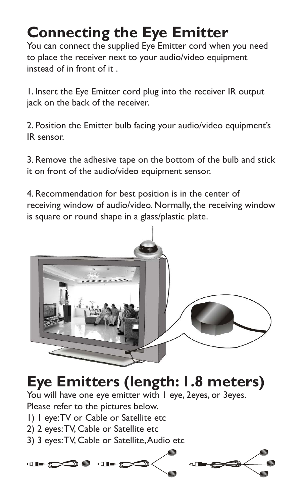## **Connecting the Eye Emitter**

You can connect the supplied Eye Emitter cord when you need to place the receiver next to your audio/video equipment instead of in front of it .

1. Insert the Eye Emitter cord plug into the receiver IR output jack on the back of the receiver.

2. Position the Emitter bulb facing your audio/video equipment's IR sensor.

3. Remove the adhesive tape on the bottom of the bulb and stick it on front of the audio/video equipment sensor.

4. Recommendation for best position is in the center of receiving window of audio/video. Normally, the receiving window is square or round shape in a glass/plastic plate.



## **Eye Emitters (length: 1.8 meters)**

You will have one eye emitter with I eye, 2eyes, or 3eyes. Please refer to the pictures below.

- 1) 1 eye:TV or Cable or Satellite etc
- 2) 2 eyes: TV, Cable or Satellite etc
- 3) 3 eyes: TV, Cable or Satellite, Audio etc

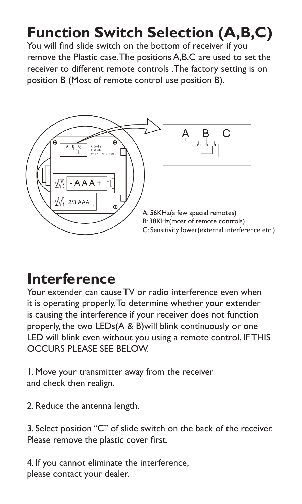## **Function Switch Selection (A,B,C)**

You will find slide switch on the bottom of receiver if you remove the Plastic case. The positions A,B,C are used to set the receiver to different remote controls .The factory setting is on position B (Most of remote control use position B).



#### **Interference**

Your extender can cause TV or radio interference even when it is operating properly. To determine whether your extender is causing the interference if your receiver does not function properly, the two LEDs(A & B)will blink continuously or one LED will blink even without you using a remote control. IF THIS OCCURS PLEASE SEE RELOW.

1. Move your transmitter away from the receiver and check then realign.

2. Reduce the antenna length.

3. Select position "C" of slide switch on the back of the receiver. Please remove the plastic cover first.

4. If you cannot eliminate the interference, please contact your dealer.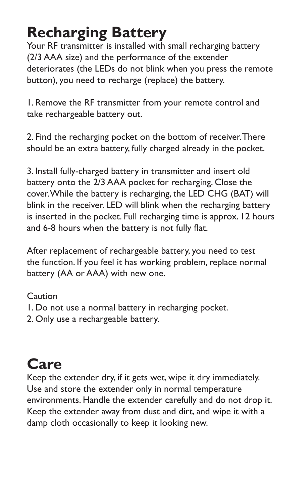#### **Recharging Battery**

Your RF transmitter is installed with small recharging battery (2/3 AAA size) and the performance of the extender deteriorates (the LEDs do not blink when you press the remote button), you need to recharge (replace) the battery.

1. Remove the RF transmitter from your remote control and take rechargeable battery out.

2. Find the recharging pocket on the bottom of receiver. There should be an extra battery, fully charged already in the pocket.

3. Install fully-charged battery in transmitter and insert old battery onto the 2/3 AAA pocket for recharging. Close the cover. While the battery is recharging, the LED CHG (BAT) will blink in the receiver. LED will blink when the recharging battery is inserted in the pocket. Full recharging time is approx. 12 hours and 6-8 hours when the battery is not fully flat.

After replacement of rechargeable battery, you need to test the function. If you feel it has working problem, replace normal battery (AA or AAA) with new one.

Caution

- 1. Do not use a normal battery in recharging pocket.
- 2. Only use a rechargeable battery.

## **Care**

Keep the extender dry, if it gets wet, wipe it dry immediately. Use and store the extender only in normal temperature environments. Handle the extender carefully and do not drop it. Keep the extender away from dust and dirt, and wipe it with a damp cloth occasionally to keep it looking new.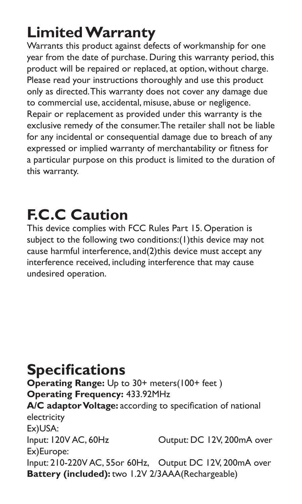## **Limited Warranty**

Warrants this product against defects of workmanship for one year from the date of purchase. During this warranty period, this product will be repaired or replaced, at option, without charge. Please read your instructions thoroughly and use this product only as directed. This warranty does not cover any damage due to commercial use, accidental, misuse, abuse or negligence. Repair or replacement as provided under this warranty is the exclusive remedy of the consumer. The retailer shall not be liable for any incidental or consequential damage due to breach of any expressed or implied warranty of merchantability or fitness for a particular purpose on this product is limited to the duration of this warranty.

# **F.C.C Caution**

This device complies with FCC Rules Part 15. Operation is subject to the following two conditions: (1) this device may not cause harmful interference, and(2)this device must accept any interference received, including interference that may cause undesired operation.

**Specifications Operating Range:** Up to 30+ meters(100+ feet ) **Operating Frequency:** 433.92MHz **A/C adaptor Voltage:** according to specification of national electricity Ex)USA:<br>Input: 120V AC, 60Hz Output: DC 12V, 200mA over Ex)Europe: Input: 210-220V AC, 55or 60Hz, Output DC 12V, 200mA over **Battery (included):** two 1.2V 2/3AAA(Rechargeable)